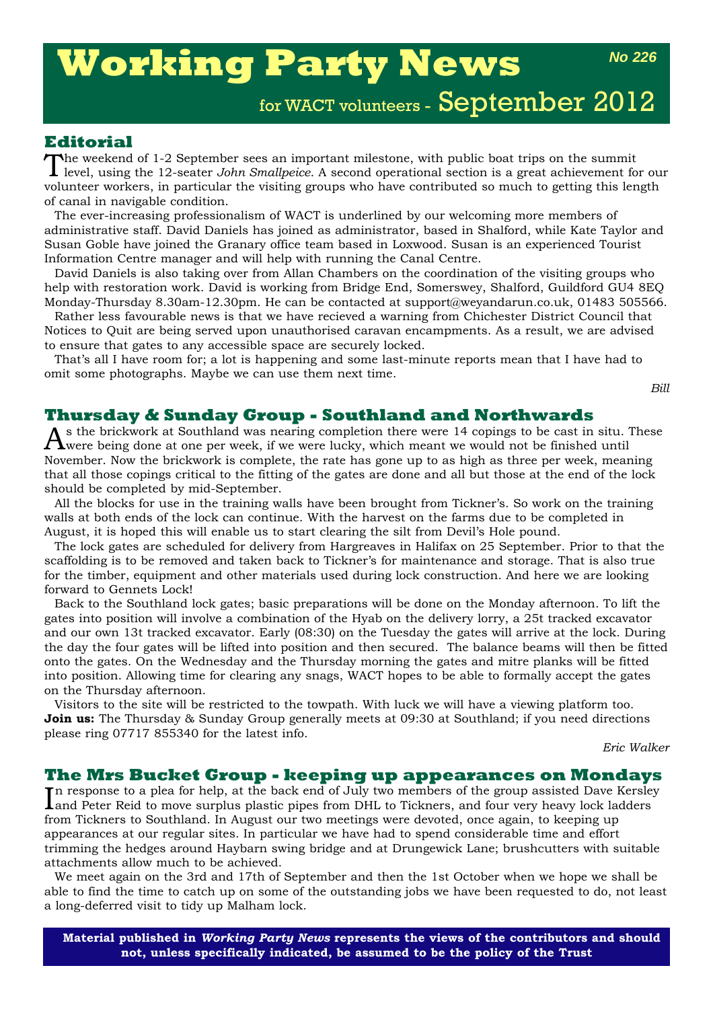# **Working Party News**

*No 226*

## for WACT volunteers - September 2012

#### **Editorial**

The weekend of 1-2 September sees an important milestone, with public boat trips on the summit<br>level, using the 12-seater *John Smallpeice*. A second operational section is a great achievement for our volunteer workers, in particular the visiting groups who have contributed so much to getting this length of canal in navigable condition.

The ever-increasing professionalism of WACT is underlined by our welcoming more members of administrative staff. David Daniels has joined as administrator, based in Shalford, while Kate Taylor and Susan Goble have joined the Granary office team based in Loxwood. Susan is an experienced Tourist Information Centre manager and will help with running the Canal Centre.

David Daniels is also taking over from Allan Chambers on the coordination of the visiting groups who help with restoration work. David is working from Bridge End, Somerswey, Shalford, Guildford GU4 8EQ Monday-Thursday 8.30am-12.30pm. He can be contacted at support@weyandarun.co.uk, 01483 505566.

Rather less favourable news is that we have recieved a warning from Chichester District Council that Notices to Quit are being served upon unauthorised caravan encampments. As a result, we are advised to ensure that gates to any accessible space are securely locked.

That's all I have room for; a lot is happening and some last-minute reports mean that I have had to omit some photographs. Maybe we can use them next time.

*Bill*

#### **Thursday & Sunday Group - Southland and Northwards**

s the brickwork at Southland was nearing completion there were 14 copings to be cast in situ. These **T** were being done at one per week, if we were lucky, which meant we would not be finished until November. Now the brickwork is complete, the rate has gone up to as high as three per week, meaning that all those copings critical to the fitting of the gates are done and all but those at the end of the lock should be completed by mid-September.

All the blocks for use in the training walls have been brought from Tickner's. So work on the training walls at both ends of the lock can continue. With the harvest on the farms due to be completed in August, it is hoped this will enable us to start clearing the silt from Devil's Hole pound.

The lock gates are scheduled for delivery from Hargreaves in Halifax on 25 September. Prior to that the scaffolding is to be removed and taken back to Tickner's for maintenance and storage. That is also true for the timber, equipment and other materials used during lock construction. And here we are looking forward to Gennets Lock!

Back to the Southland lock gates; basic preparations will be done on the Monday afternoon. To lift the gates into position will involve a combination of the Hyab on the delivery lorry, a 25t tracked excavator and our own 13t tracked excavator. Early (08:30) on the Tuesday the gates will arrive at the lock. During the day the four gates will be lifted into position and then secured. The balance beams will then be fitted onto the gates. On the Wednesday and the Thursday morning the gates and mitre planks will be fitted into position. Allowing time for clearing any snags, WACT hopes to be able to formally accept the gates on the Thursday afternoon.

Visitors to the site will be restricted to the towpath. With luck we will have a viewing platform too. **Join us:** The Thursday & Sunday Group generally meets at 09:30 at Southland; if you need directions please ring 07717 855340 for the latest info.

*Eric Walker*

#### **The Mrs Bucket Group - keeping up appearances on Mondays**

In response to a plea for help, at the back end of July two members of the group assisted Dave Kersley<br>Land Peter Reid to move surplus plastic pipes from DHL to Tickners, and four very heavy lock ladders and Peter Reid to move surplus plastic pipes from DHL to Tickners, and four very heavy lock ladders from Tickners to Southland. In August our two meetings were devoted, once again, to keeping up appearances at our regular sites. In particular we have had to spend considerable time and effort trimming the hedges around Haybarn swing bridge and at Drungewick Lane; brushcutters with suitable attachments allow much to be achieved.

We meet again on the 3rd and 17th of September and then the 1st October when we hope we shall be able to find the time to catch up on some of the outstanding jobs we have been requested to do, not least a long-deferred visit to tidy up Malham lock.

**Material published in** *Working Party News* **represents the views of the contributors and should not, unless specifically indicated, be assumed to be the policy of the Trust**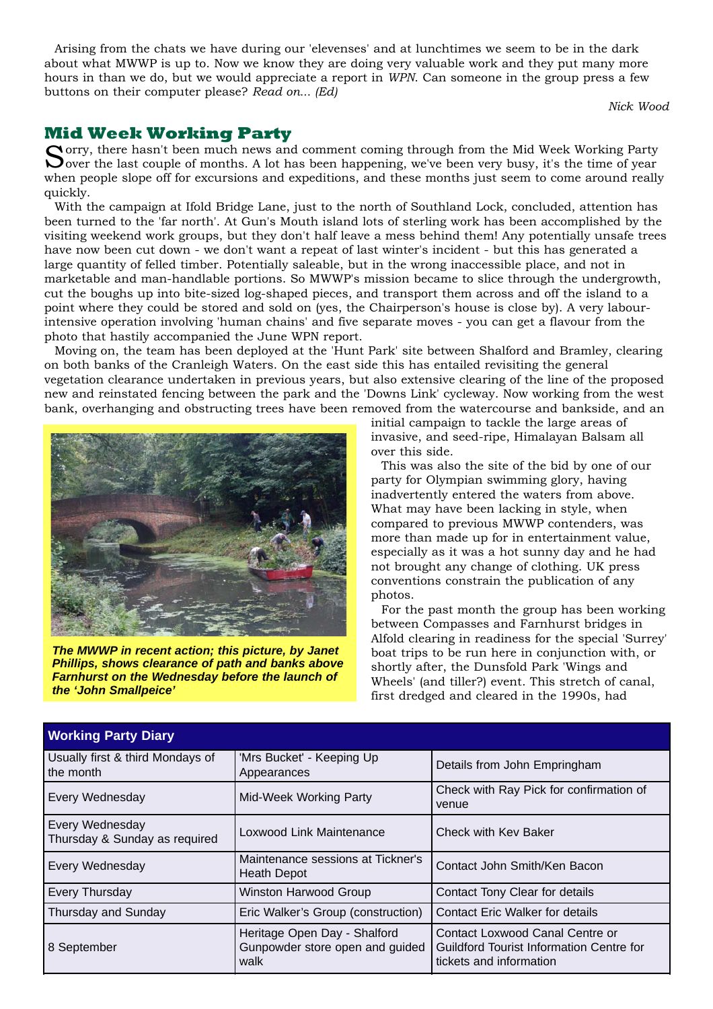Arising from the chats we have during our 'elevenses' and at lunchtimes we seem to be in the dark about what MWWP is up to. Now we know they are doing very valuable work and they put many more hours in than we do, but we would appreciate a report in *WPN*. Can someone in the group press a few buttons on their computer please? *Read on... (Ed)*

*Nick Wood*

#### **Mid Week Working Party**

Sorry, there hasn't been much news and comment coming through from the Mid Week Working Party Over the last couple of months. A lot has been happening, we've been very busy, it's the time of year when people slope off for excursions and expeditions, and these months just seem to come around really quickly.

With the campaign at Ifold Bridge Lane, just to the north of Southland Lock, concluded, attention has been turned to the 'far north'. At Gun's Mouth island lots of sterling work has been accomplished by the visiting weekend work groups, but they don't half leave a mess behind them! Any potentially unsafe trees have now been cut down - we don't want a repeat of last winter's incident - but this has generated a large quantity of felled timber. Potentially saleable, but in the wrong inaccessible place, and not in marketable and man-handlable portions. So MWWP's mission became to slice through the undergrowth, cut the boughs up into bite-sized log-shaped pieces, and transport them across and off the island to a point where they could be stored and sold on (yes, the Chairperson's house is close by). A very labourintensive operation involving 'human chains' and five separate moves - you can get a flavour from the photo that hastily accompanied the June WPN report.

Moving on, the team has been deployed at the 'Hunt Park' site between Shalford and Bramley, clearing on both banks of the Cranleigh Waters. On the east side this has entailed revisiting the general vegetation clearance undertaken in previous years, but also extensive clearing of the line of the proposed new and reinstated fencing between the park and the 'Downs Link' cycleway. Now working from the west bank, overhanging and obstructing trees have been removed from the watercourse and bankside, and an



*The MWWP in recent action; this picture, by Janet Phillips, shows clearance of path and banks above Farnhurst on the Wednesday before the launch of the 'John Smallpeice'*

initial campaign to tackle the large areas of invasive, and seed-ripe, Himalayan Balsam all over this side.

This was also the site of the bid by one of our party for Olympian swimming glory, having inadvertently entered the waters from above. What may have been lacking in style, when compared to previous MWWP contenders, was more than made up for in entertainment value, especially as it was a hot sunny day and he had not brought any change of clothing. UK press conventions constrain the publication of any photos.

For the past month the group has been working between Compasses and Farnhurst bridges in Alfold clearing in readiness for the special 'Surrey' boat trips to be run here in conjunction with, or shortly after, the Dunsfold Park 'Wings and Wheels' (and tiller?) event. This stretch of canal, first dredged and cleared in the 1990s, had

| <b>TIVINING I GIVY DIGITY</b>                                                          |                                                         |                                                                                                               |
|----------------------------------------------------------------------------------------|---------------------------------------------------------|---------------------------------------------------------------------------------------------------------------|
| Usually first & third Mondays of<br>the month                                          | 'Mrs Bucket' - Keeping Up<br>Appearances                | Details from John Empringham                                                                                  |
| Every Wednesday                                                                        | Mid-Week Working Party                                  | Check with Ray Pick for confirmation of<br>venue                                                              |
| Every Wednesday<br>Thursday & Sunday as required                                       | Loxwood Link Maintenance                                | Check with Key Baker                                                                                          |
| Every Wednesday                                                                        | Maintenance sessions at Tickner's<br><b>Heath Depot</b> | Contact John Smith/Ken Bacon                                                                                  |
| Every Thursday                                                                         | <b>Winston Harwood Group</b>                            | Contact Tony Clear for details                                                                                |
| Thursday and Sunday                                                                    | Eric Walker's Group (construction)                      | <b>Contact Eric Walker for details</b>                                                                        |
| Heritage Open Day - Shalford<br>Gunpowder store open and guided<br>8 September<br>walk |                                                         | Contact Loxwood Canal Centre or<br><b>Guildford Tourist Information Centre for</b><br>tickets and information |

#### **Working Party Diary**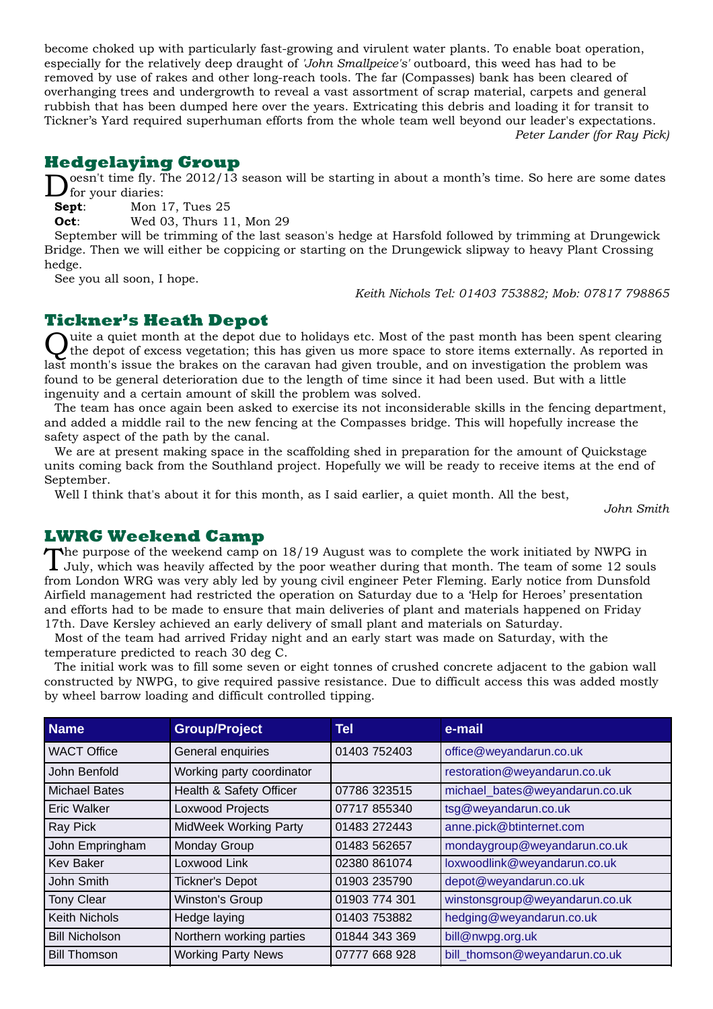become choked up with particularly fast-growing and virulent water plants. To enable boat operation, especially for the relatively deep draught of *'John Smallpeice's'* outboard, this weed has had to be removed by use of rakes and other long-reach tools. The far (Compasses) bank has been cleared of overhanging trees and undergrowth to reveal a vast assortment of scrap material, carpets and general rubbish that has been dumped here over the years. Extricating this debris and loading it for transit to Tickner's Yard required superhuman efforts from the whole team well beyond our leader's expectations. *Peter Lander (for Ray Pick)*

### **Hedgelaying Group**

**Doesn't time fly.** The 2012/13 season will be starting in about a month's time. So here are some dates for your diaries:<br>**Sept**: Mon 17, Tues 25 for your diaries:

**Sept**: Mon 17, Tues 25

**Oct:** Wed 03, Thurs 11, Mon 29

September will be trimming of the last season's hedge at Harsfold followed by trimming at Drungewick Bridge. Then we will either be coppicing or starting on the Drungewick slipway to heavy Plant Crossing hedge.

See you all soon, I hope.

*Keith Nichols Tel: 01403 753882; Mob: 07817 798865*

**Tickner's Heath Depot**<br>
Quite a quiet month at the depot due to holidays etc. Most of the past month has been spent clearing Quite a quiet month at the depot due to holidays etc. Most of the past month has been spent clearing<br>the depot of excess vegetation; this has given us more space to store items externally. As reported in last month's issue the brakes on the caravan had given trouble, and on investigation the problem was found to be general deterioration due to the length of time since it had been used. But with a little ingenuity and a certain amount of skill the problem was solved.

The team has once again been asked to exercise its not inconsiderable skills in the fencing department, and added a middle rail to the new fencing at the Compasses bridge. This will hopefully increase the safety aspect of the path by the canal.

We are at present making space in the scaffolding shed in preparation for the amount of Quickstage units coming back from the Southland project. Hopefully we will be ready to receive items at the end of September.

Well I think that's about it for this month, as I said earlier, a quiet month. All the best,

*John Smith*

#### **LWRG Weekend Camp**

The purpose of the weekend camp on 18/19 August was to complete the work initiated by NWPG in July, which was heavily affected by the poor weather during that month. The team of some 12 souls from London WRG was very ably led by young civil engineer Peter Fleming. Early notice from Dunsfold Airfield management had restricted the operation on Saturday due to a 'Help for Heroes' presentation and efforts had to be made to ensure that main deliveries of plant and materials happened on Friday 17th. Dave Kersley achieved an early delivery of small plant and materials on Saturday.

Most of the team had arrived Friday night and an early start was made on Saturday, with the temperature predicted to reach 30 deg C.

The initial work was to fill some seven or eight tonnes of crushed concrete adjacent to the gabion wall constructed by NWPG, to give required passive resistance. Due to difficult access this was added mostly by wheel barrow loading and difficult controlled tipping.

| <b>Name</b>           | <b>Group/Project</b>         | Tel           | e-mail                         |
|-----------------------|------------------------------|---------------|--------------------------------|
| <b>WACT Office</b>    | General enquiries            | 01403 752403  | office@weyandarun.co.uk        |
| John Benfold          | Working party coordinator    |               | restoration@weyandarun.co.uk   |
| <b>Michael Bates</b>  | Health & Safety Officer      | 07786 323515  | michael_bates@weyandarun.co.uk |
| <b>Eric Walker</b>    | Loxwood Projects             | 07717 855340  | tsg@weyandarun.co.uk           |
| Ray Pick              | <b>MidWeek Working Party</b> | 01483 272443  | anne.pick@btinternet.com       |
| John Empringham       | Monday Group                 | 01483 562657  | mondaygroup@weyandarun.co.uk   |
| <b>Kev Baker</b>      | Loxwood Link                 | 02380 861074  | loxwoodlink@weyandarun.co.uk   |
| John Smith            | <b>Tickner's Depot</b>       | 01903 235790  | depot@weyandarun.co.uk         |
| <b>Tony Clear</b>     | <b>Winston's Group</b>       | 01903 774 301 | winstonsgroup@weyandarun.co.uk |
| <b>Keith Nichols</b>  | Hedge laying                 | 01403 753882  | hedging@weyandarun.co.uk       |
| <b>Bill Nicholson</b> | Northern working parties     | 01844 343 369 | bill@nwpg.org.uk               |
| <b>Bill Thomson</b>   | <b>Working Party News</b>    | 07777 668 928 | bill thomson@weyandarun.co.uk  |